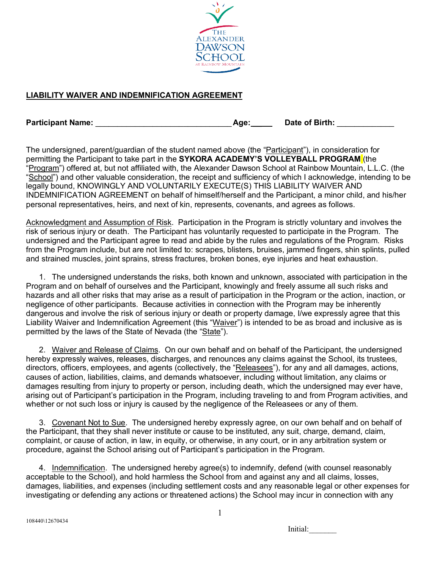

## **LIABILITY WAIVER AND INDEMNIFICATION AGREEMENT**

| <b>Participant Name:</b> | Age <sup>-</sup> | Date of Birth: |
|--------------------------|------------------|----------------|
|                          |                  |                |

The undersigned, parent/guardian of the student named above (the "Participant"), in consideration for permitting the Participant to take part in the **SYKORA ACADEMY'S VOLLEYBALL PROGRAM** (the "Program") offered at, but not affiliated with, the Alexander Dawson School at Rainbow Mountain, L.L.C. (the "School") and other valuable consideration, the receipt and sufficiency of which I acknowledge, intending to be legally bound, KNOWINGLY AND VOLUNTARILY EXECUTE(S) THIS LIABILITY WAIVER AND INDEMNIFICATION AGREEMENT on behalf of himself/herself and the Participant, a minor child, and his/her personal representatives, heirs, and next of kin, represents, covenants, and agrees as follows.

Acknowledgment and Assumption of Risk. Participation in the Program is strictly voluntary and involves the risk of serious injury or death. The Participant has voluntarily requested to participate in the Program. The undersigned and the Participant agree to read and abide by the rules and regulations of the Program. Risks from the Program include, but are not limited to: scrapes, blisters, bruises, jammed fingers, shin splints, pulled and strained muscles, joint sprains, stress fractures, broken bones, eye injuries and heat exhaustion.

1. The undersigned understands the risks, both known and unknown, associated with participation in the Program and on behalf of ourselves and the Participant, knowingly and freely assume all such risks and hazards and all other risks that may arise as a result of participation in the Program or the action, inaction, or negligence of other participants. Because activities in connection with the Program may be inherently dangerous and involve the risk of serious injury or death or property damage, I/we expressly agree that this Liability Waiver and Indemnification Agreement (this "Waiver") is intended to be as broad and inclusive as is permitted by the laws of the State of Nevada (the "State").

2. Waiver and Release of Claims. On our own behalf and on behalf of the Participant, the undersigned hereby expressly waives, releases, discharges, and renounces any claims against the School, its trustees, directors, officers, employees, and agents (collectively, the "Releasees"), for any and all damages, actions, causes of action, liabilities, claims, and demands whatsoever, including without limitation, any claims or damages resulting from injury to property or person, including death, which the undersigned may ever have, arising out of Participant's participation in the Program, including traveling to and from Program activities, and whether or not such loss or injury is caused by the negligence of the Releasees or any of them.

3. Covenant Not to Sue. The undersigned hereby expressly agree, on our own behalf and on behalf of the Participant, that they shall never institute or cause to be instituted, any suit, charge, demand, claim, complaint, or cause of action, in law, in equity, or otherwise, in any court, or in any arbitration system or procedure, against the School arising out of Participant's participation in the Program.

4. Indemnification. The undersigned hereby agree(s) to indemnify, defend (with counsel reasonably acceptable to the School), and hold harmless the School from and against any and all claims, losses, damages, liabilities, and expenses (including settlement costs and any reasonable legal or other expenses for investigating or defending any actions or threatened actions) the School may incur in connection with any

Initial: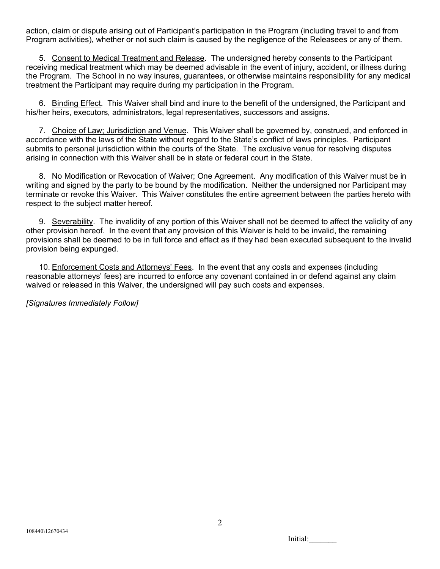action, claim or dispute arising out of Participant's participation in the Program (including travel to and from Program activities), whether or not such claim is caused by the negligence of the Releasees or any of them.

5. Consent to Medical Treatment and Release. The undersigned hereby consents to the Participant receiving medical treatment which may be deemed advisable in the event of injury, accident, or illness during the Program. The School in no way insures, guarantees, or otherwise maintains responsibility for any medical treatment the Participant may require during my participation in the Program.

6. Binding Effect. This Waiver shall bind and inure to the benefit of the undersigned, the Participant and his/her heirs, executors, administrators, legal representatives, successors and assigns.

7. Choice of Law; Jurisdiction and Venue. This Waiver shall be governed by, construed, and enforced in accordance with the laws of the State without regard to the State's conflict of laws principles. Participant submits to personal jurisdiction within the courts of the State. The exclusive venue for resolving disputes arising in connection with this Waiver shall be in state or federal court in the State.

8. No Modification or Revocation of Waiver; One Agreement. Any modification of this Waiver must be in writing and signed by the party to be bound by the modification. Neither the undersigned nor Participant may terminate or revoke this Waiver. This Waiver constitutes the entire agreement between the parties hereto with respect to the subject matter hereof.

9. Severability. The invalidity of any portion of this Waiver shall not be deemed to affect the validity of any other provision hereof. In the event that any provision of this Waiver is held to be invalid, the remaining provisions shall be deemed to be in full force and effect as if they had been executed subsequent to the invalid provision being expunged.

10. Enforcement Costs and Attorneys' Fees. In the event that any costs and expenses (including reasonable attorneys' fees) are incurred to enforce any covenant contained in or defend against any claim waived or released in this Waiver, the undersigned will pay such costs and expenses.

*[Signatures Immediately Follow]*

Initial: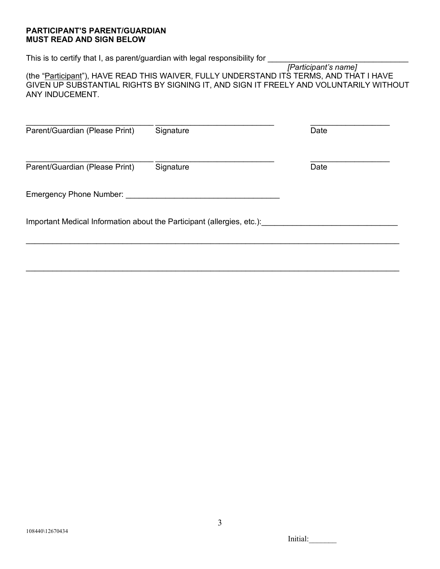## **PARTICIPANT'S PARENT/GUARDIAN MUST READ AND SIGN BELOW**

This is to certify that I, as parent/guardian with legal responsibility for \_

 *[Participant's name]* (the "Participant"), HAVE READ THIS WAIVER, FULLY UNDERSTAND ITS TERMS, AND THAT I HAVE GIVEN UP SUBSTANTIAL RIGHTS BY SIGNING IT, AND SIGN IT FREELY AND VOLUNTARILY WITHOUT ANY INDUCEMENT.

| Parent/Guardian (Please Print)                                         | Signature | Date |
|------------------------------------------------------------------------|-----------|------|
| Parent/Guardian (Please Print)                                         | Signature | Date |
| Emergency Phone Number:                                                |           |      |
| Important Medical Information about the Participant (allergies, etc.): |           |      |
|                                                                        |           |      |

Initial: